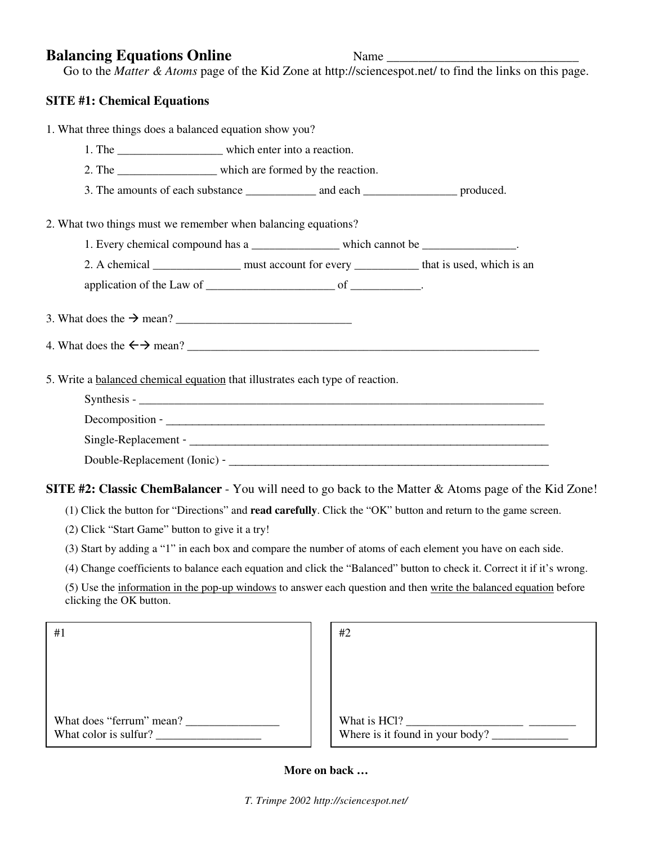## **Balancing Equations Online** Mame Name

Go to the *Matter & Atoms* page of the Kid Zone at http://sciencespot.net/ to find the links on this page.

## **SITE #1: Chemical Equations**

1. What three things does a balanced equation show you?

- 1. The \_\_\_\_\_\_\_\_\_\_\_\_\_\_\_\_\_\_\_\_\_\_\_\_\_ which enter into a reaction.
- 2. The which are formed by the reaction.
- 3. The amounts of each substance \_\_\_\_\_\_\_\_\_\_\_\_ and each \_\_\_\_\_\_\_\_\_\_\_\_\_\_\_\_\_ produced.
- 2. What two things must we remember when balancing equations?
	- 1. Every chemical compound has a z and which cannot be  $\frac{1}{2}$

2. A chemical \_\_\_\_\_\_\_\_\_\_\_\_\_\_\_ must account for every \_\_\_\_\_\_\_\_\_\_\_ that is used, which is an

application of the Law of \_\_\_\_\_\_\_\_\_\_\_\_\_\_\_\_\_\_\_\_\_\_ of \_\_\_\_\_\_\_\_\_\_\_\_.

- 3. What does the  $\rightarrow$  mean?
- 4. What does the  $\leftarrow \rightarrow$  mean?
- 5. Write a balanced chemical equation that illustrates each type of reaction.

| Synthesis -                  |
|------------------------------|
| Decomposition -              |
| Single-Replacement -         |
| Double-Replacement (Ionic) - |

## **SITE #2: Classic ChemBalancer** - You will need to go back to the Matter & Atoms page of the Kid Zone!

(1) Click the button for "Directions" and **read carefully**. Click the "OK" button and return to the game screen.

- (2) Click "Start Game" button to give it a try!
- (3) Start by adding a "1" in each box and compare the number of atoms of each element you have on each side.
- (4) Change coefficients to balance each equation and click the "Balanced" button to check it. Correct it if it's wrong.

(5) Use the information in the pop-up windows to answer each question and then write the balanced equation before clicking the OK button.

| #1                                                |  |
|---------------------------------------------------|--|
|                                                   |  |
|                                                   |  |
|                                                   |  |
| What does "ferrum" mean?<br>What color is sulfur? |  |

| What is HCl? | Where is it found in your body? |  |
|--------------|---------------------------------|--|

## **More on back …**